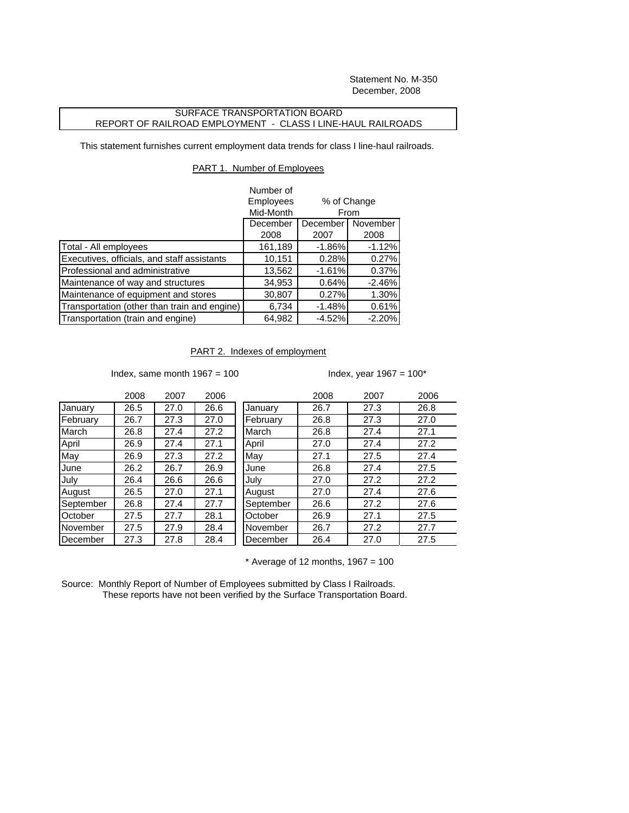Statement No. M-350 December, 2008

## SURFACE TRANSPORTATION BOARD REPORT OF RAILROAD EMPLOYMENT - CLASS I LINE-HAUL RAILROADS

This statement furnishes current employment data trends for class I line-haul railroads.

## PART 1. Number of Employees

|                                              | Number of |                                             |          |
|----------------------------------------------|-----------|---------------------------------------------|----------|
|                                              | Employees | % of Change<br>From<br>December<br>November |          |
|                                              | Mid-Month |                                             |          |
|                                              | December  |                                             |          |
|                                              | 2008      | 2007                                        | 2008     |
| Total - All employees                        | 161,189   | $-1.86%$                                    | $-1.12%$ |
| Executives, officials, and staff assistants  | 10,151    | 0.28%                                       | 0.27%    |
| Professional and administrative              | 13,562    | $-1.61%$                                    | 0.37%    |
| Maintenance of way and structures            | 34,953    | 0.64%                                       | $-2.46%$ |
| Maintenance of equipment and stores          | 30,807    | 0.27%                                       | 1.30%    |
| Transportation (other than train and engine) | 6,734     | $-1.48%$                                    | 0.61%    |
| Transportation (train and engine)            | 64,982    | $-4.52%$                                    | $-2.20%$ |

## PART 2. Indexes of employment

Index, same month  $1967 = 100$  Index, year  $1967 = 100$ \*

|           | 2008 | 2007 | 2006 |           | 2008 | 2007 | 2006 |
|-----------|------|------|------|-----------|------|------|------|
| January   | 26.5 | 27.0 | 26.6 | January   | 26.7 | 27.3 | 26.8 |
| February  | 26.7 | 27.3 | 27.0 | February  | 26.8 | 27.3 | 27.0 |
| March     | 26.8 | 27.4 | 27.2 | March     | 26.8 | 27.4 | 27.1 |
| April     | 26.9 | 27.4 | 27.1 | April     | 27.0 | 27.4 | 27.2 |
| May       | 26.9 | 27.3 | 27.2 | May       | 27.1 | 27.5 | 27.4 |
| June      | 26.2 | 26.7 | 26.9 | June      | 26.8 | 27.4 | 27.5 |
| Julv      | 26.4 | 26.6 | 26.6 | July      | 27.0 | 27.2 | 27.2 |
| August    | 26.5 | 27.0 | 27.1 | August    | 27.0 | 27.4 | 27.6 |
| September | 26.8 | 27.4 | 27.7 | September | 26.6 | 27.2 | 27.6 |
| October   | 27.5 | 27.7 | 28.1 | October   | 26.9 | 27.1 | 27.5 |
| November  | 27.5 | 27.9 | 28.4 | November  | 26.7 | 27.2 | 27.7 |
| December  | 27.3 | 27.8 | 28.4 | December  | 26.4 | 27.0 | 27.5 |
|           |      |      |      |           |      |      |      |

 $*$  Average of 12 months, 1967 = 100

Source: Monthly Report of Number of Employees submitted by Class I Railroads. These reports have not been verified by the Surface Transportation Board.